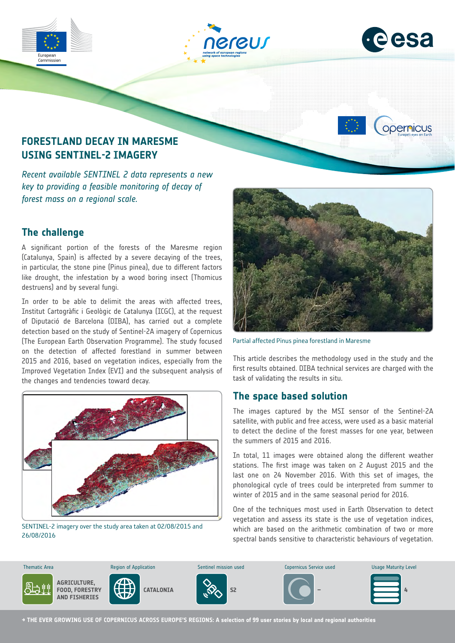

*Recent available SENTINEL 2 data represents a new key to providing a feasible monitoring of decay of forest mass on a regional scale.*

### **The challenge**

A significant portion of the forests of the Maresme region (Catalunya, Spain) is affected by a severe decaying of the trees, in particular, the stone pine (Pinus pinea), due to different factors like drought, the infestation by a wood boring insect (Thomicus destruens) and by several fungi.

In order to be able to delimit the areas with affected trees, Institut Cartogràfic i Geològic de Catalunya (ICGC), at the request of Diputació de Barcelona (DIBA), has carried out a complete detection based on the study of Sentinel-2A imagery of Copernicus (The European Earth Observation Programme). The study focused on the detection of affected forestland in summer between 2015 and 2016, based on vegetation indices, especially from the Improved Vegetation Index (EVI) and the subsequent analysis of the changes and tendencies toward decay.



26/08/2016 SENTINEL-2 imagery over the study area taken at 02/08/2015 and



Partial affected Pinus pinea forestland in Maresme

This article describes the methodology used in the study and the first results obtained. DIBA technical services are charged with the task of validating the results in situ.

#### **The space based solution**

The images captured by the MSI sensor of the Sentinel-2A satellite, with public and free access, were used as a basic material to detect the decline of the forest masses for one year, between the summers of 2015 and 2016.

In total, 11 images were obtained along the different weather stations. The first image was taken on 2 August 2015 and the last one on 24 November 2016. With this set of images, the phonological cycle of trees could be interpreted from summer to winter of 2015 and in the same seasonal period for 2016.

One of the techniques most used in Earth Observation to detect vegetation and assess its state is the use of vegetation indices, which are based on the arithmetic combination of two or more spectral bands sensitive to characteristic behaviours of vegetation.



**→ THE EVER GROWING USE OF COPERNICUS ACROSS EUROPE'S REGIONS: A selection of 99 user stories by local and regional authorities**